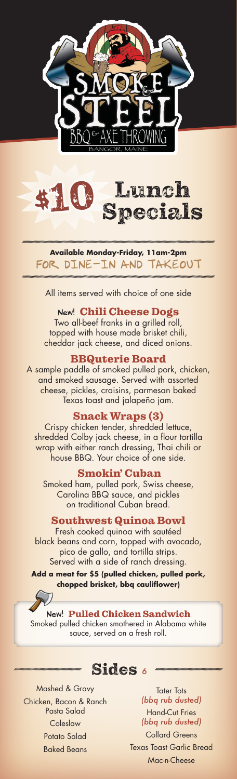



**Available Monday-Friday, 11am-2pm** FOR DINE-IN AND TAKEOUT

All items served with choice of one side

### New! Chili Cheese Dogs

Two all-beef franks in a grilled roll, topped with house made brisket chili, cheddar jack cheese, and diced onions.

#### BBQuterie Board

A sample paddle of smoked pulled pork, chicken, and smoked sausage. Served with assorted cheese, pickles, craisins, parmesan baked Texas toast and jalapeño jam.

## Snack Wraps (3)

Crispy chicken tender, shredded lettuce, shredded Colby jack cheese, in a flour tortilla wrap with either ranch dressing, Thai chili or house BBQ. Your choice of one side.

#### Smokin' Cuban

Smoked ham, pulled pork, Swiss cheese, Carolina BBQ sauce, and pickles on traditional Cuban bread.

### Southwest Quinoa Bowl

Fresh cooked quinoa with sautéed black beans and corn, topped with avocado, pico de gallo, and tortilla strips. Served with a side of ranch dressing.

**Add a meat for \$5 (pulled chicken, pulled pork, chopped brisket, bbq cauliflower)**

#### New! Pulled Chicken Sandwich

Smoked pulled chicken smothered in Alabama white sauce, served on a fresh roll.

Sides *<sup>6</sup>*

Mashed & Gravy Chicken, Bacon & Ranch Pasta Salad **Coleslaw** Potato Salad Baked Beans

**Tater Tots** *(bbq rub dusted)* Hand-Cut Fries *(bbq rub dusted)* Collard Greens Texas Toast Garlic Bread Mac-n-Cheese